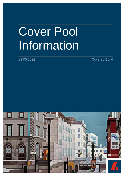## Cover Pool Information

31.05.2022 Covered Bond

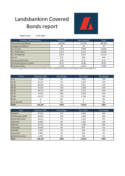## Landsbankinn Covered Bonds report



Report date:

31.05.2022

| <b>Portfolio Characteristics</b>  | Indexed* | Non-Indexed | <b>Total</b> |
|-----------------------------------|----------|-------------|--------------|
| <b>Total Cover Pool Balance</b>   | 149.007  | 117,293     | 266,301      |
| Average Loan Balance              | 20       | 18          | 19           |
| No. of Loans                      | 7,452    | 6,380       | 13,832       |
| No. of Borrowers                  | 6,613    | 6,013       | 12,626       |
| No. of Properties                 | 6,541    | 5,972       | 12,513       |
| <b>WA LTV</b>                     | 57%      | 49%         | 54%          |
| <b>WA Seasoning (Years)</b>       | 4.09     | 2.59        | 3.43         |
| <b>WA Remaining terms (Years)</b> | 30.37    | 30.86       | 30.59        |
| <b>WA Interest Rate</b>           | 2.13%    | 4.63%       | 3.23%        |

\*Indexed mortgage linked to the consumer price index in iceland as published by statistic Iceland (Hagstofa Íslands: www.hagstofa.is).

| LTV %        | Exposure (ISK) | Percentage | No. Loans | Percentage |
|--------------|----------------|------------|-----------|------------|
| $0 - 20$     | 12,283         | 5%         | 1,832     | 13%        |
| $20 - 30$    | 19,411         | 7%         | 1,467     | 11%        |
| 30-40        | 30,338         | 11%        | 1,832     | 13%        |
| 40-50        | 35,554         | 13%        | 1,848     | 13%        |
| 50-60        | 48,776         | 18%        | 2,174     | 16%        |
| 60-70        | 74,423         | 28%        | 2,970     | 21%        |
| 70-80        | 45,517         | 17%        | 1,709     | 12%        |
| 80-90        | 0              | 0%         | 0         | 0%         |
| more than 90 | 0              | 0%         | $\Omega$  | 0%         |
| <b>Total</b> | 266,301        | 100%       | 13,832    | 100%       |

| Area              | Exposure (ISK) | Percentage | No. Loans | Percentage |  |
|-------------------|----------------|------------|-----------|------------|--|
| Reykjavík         | 97,281         | 37%        | 4,645     | 34%        |  |
| Höfuðborgarsvæðið | 83,694         | 31%        | 3,598     | 26%        |  |
| Norðurland eystra | 18,115         | 7%         | 1,215     | 9%         |  |
| Suðurland         | 21,885         | 8%         | 1,394     | 10%        |  |
| <b>Suðurnes</b>   | 25,255         | 9%         | 1,439     | 10%        |  |
| Vesturland        | 10,282         | 4%         | 643       | 5%         |  |
| Vestfirðir        | 2,424          | 1%         | 266       | 2%         |  |
| Austurland        | 4,969          | 2%         | 436       | 3%         |  |
| Norðurland vestra | 2,394          | 1%         | 196       | 1%         |  |
| <b>Total</b>      | 266,301        | 100%       | 13,832    | 100%       |  |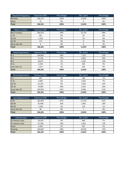| Payment frequency | Exposure (ISK) | Percentage | No. Loans | Percentage |  |
|-------------------|----------------|------------|-----------|------------|--|
| Monthly           | 266.279        | 100%       | 13.828    | 100%       |  |
| <b>Other</b>      |                | 0%         |           | 0%         |  |
| <b>Total</b>      | 266.301        | 100%       | 13,832    | 100%       |  |

| Days in arrears | Exposure (ISK) | Percentage | No. Loans | Percentage |  |
|-----------------|----------------|------------|-----------|------------|--|
| Not in arrears  | 264,535        | 99%        | 13,754    | 99%        |  |
| $1 - 30$        | 263            | 0%         | 20        | 0%         |  |
| 31-60           | 1,328          | 0%         | 50        | 0%         |  |
| 61-90           | 175            | 0%         |           | 0%         |  |
| More than 90    |                | 0%         |           | 0%         |  |
| <b>Total</b>    | 266,301        | 100%       | 13,832    | 100%       |  |

| Seasoning (Years) | Exposure (ISK) | Percentage | No. Loans | Percentage |
|-------------------|----------------|------------|-----------|------------|
| $0-3$             | 164,802        | 62%        | 7,252     | 52%        |
| $3-6$             | 71,536         | 27%        | 4,003     | 29%        |
| $6-9$             | 19,537         | 7%         | 1,632     | 12%        |
| $9 - 12$          | 3,196          | 1%         | 346       | 3%         |
| more than 12      | 7,231          | 3%         | 599       | 4%         |
| <b>Total</b>      | 266,301        | 100%       | 13,832    | 100%       |

| Remaining (Years) | Exposure (ISK) | Percentage | No. Loans | Percentage |  |
|-------------------|----------------|------------|-----------|------------|--|
| $0-5$             | 405            | 0%         | 186       | 1%         |  |
| $5 - 10$          | 4.904          | 2%         | 1,023     | 7%         |  |
| $10 - 20$         | 22,255         | 8%         | 1,994     | 14%        |  |
| $20 - 30$         | 74,084         | 28%        | 3,633     | 26%        |  |
| more than 30      | 164,653        | 62%        | 6.996     | 51%        |  |
| <b>Total</b>      | 266,301        | 100%       | 13,832    | 100%       |  |

| Loan Balance (m.) | Exposure (ISK) | Percentage | No. Loans | Percentage |  |
|-------------------|----------------|------------|-----------|------------|--|
| $0 - 30$          | 162.964        | 61%        | 11.256    | 81%        |  |
| 30-60             | 95,998         | 36%        | 2,465     | 18%        |  |
| 60-90             | 7.248          | 3%         | 110       | 1%         |  |
| more than 90      | 90             | 0%         |           | 0%         |  |
| <b>Total</b>      | 266,301        | 100%       | 13,832    | 100%       |  |

| Interest type     | Exposure (ISK) | Percentage | No. Loans | Percentage |
|-------------------|----------------|------------|-----------|------------|
| 3Y interest reset | 24,543         | 9%         | 960       | 7%         |
| 5Y interest reset | 51,768         | 19%        | 2,362     | 17%        |
| Fixed             | 6,302          | 2%         | 491       | 4%         |
| Floating          | 183,687        | 69%        | 10,019    | 72%        |
| <b>Total</b>      | 266,301        | 100%       | 13,832    | 100%       |